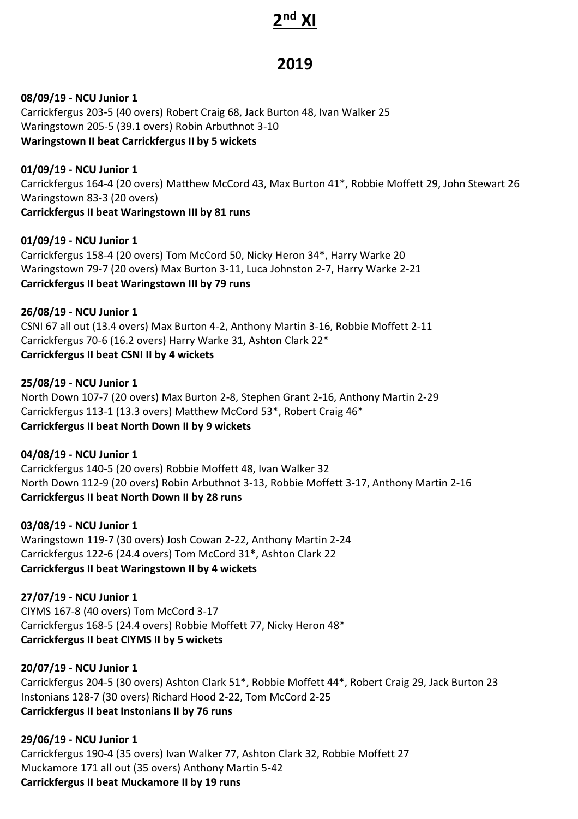## **2 nd XI**

## **2019**

**08/09/19 - NCU Junior 1** Carrickfergus 203-5 (40 overs) Robert Craig 68, Jack Burton 48, Ivan Walker 25 Waringstown 205-5 (39.1 overs) Robin Arbuthnot 3-10 **Waringstown II beat Carrickfergus II by 5 wickets**

**01/09/19 - NCU Junior 1** Carrickfergus 164-4 (20 overs) Matthew McCord 43, Max Burton 41\*, Robbie Moffett 29, John Stewart 26 Waringstown 83-3 (20 overs) **Carrickfergus II beat Waringstown III by 81 runs**

**01/09/19 - NCU Junior 1** Carrickfergus 158-4 (20 overs) Tom McCord 50, Nicky Heron 34\*, Harry Warke 20 Waringstown 79-7 (20 overs) Max Burton 3-11, Luca Johnston 2-7, Harry Warke 2-21 **Carrickfergus II beat Waringstown III by 79 runs**

**26/08/19 - NCU Junior 1** CSNI 67 all out (13.4 overs) Max Burton 4-2, Anthony Martin 3-16, Robbie Moffett 2-11 Carrickfergus 70-6 (16.2 overs) Harry Warke 31, Ashton Clark 22\* **Carrickfergus II beat CSNI II by 4 wickets**

**25/08/19 - NCU Junior 1** North Down 107-7 (20 overs) Max Burton 2-8, Stephen Grant 2-16, Anthony Martin 2-29 Carrickfergus 113-1 (13.3 overs) Matthew McCord 53\*, Robert Craig 46\* **Carrickfergus II beat North Down II by 9 wickets**

**04/08/19 - NCU Junior 1** Carrickfergus 140-5 (20 overs) Robbie Moffett 48, Ivan Walker 32 North Down 112-9 (20 overs) Robin Arbuthnot 3-13, Robbie Moffett 3-17, Anthony Martin 2-16 **Carrickfergus II beat North Down II by 28 runs**

**03/08/19 - NCU Junior 1** Waringstown 119-7 (30 overs) Josh Cowan 2-22, Anthony Martin 2-24 Carrickfergus 122-6 (24.4 overs) Tom McCord 31\*, Ashton Clark 22 **Carrickfergus II beat Waringstown II by 4 wickets**

**27/07/19 - NCU Junior 1** CIYMS 167-8 (40 overs) Tom McCord 3-17 Carrickfergus 168-5 (24.4 overs) Robbie Moffett 77, Nicky Heron 48\* **Carrickfergus II beat CIYMS II by 5 wickets**

**20/07/19 - NCU Junior 1** Carrickfergus 204-5 (30 overs) Ashton Clark 51\*, Robbie Moffett 44\*, Robert Craig 29, Jack Burton 23 Instonians 128-7 (30 overs) Richard Hood 2-22, Tom McCord 2-25 **Carrickfergus II beat Instonians II by 76 runs**

**29/06/19 - NCU Junior 1** Carrickfergus 190-4 (35 overs) Ivan Walker 77, Ashton Clark 32, Robbie Moffett 27 Muckamore 171 all out (35 overs) Anthony Martin 5-42 **Carrickfergus II beat Muckamore II by 19 runs**